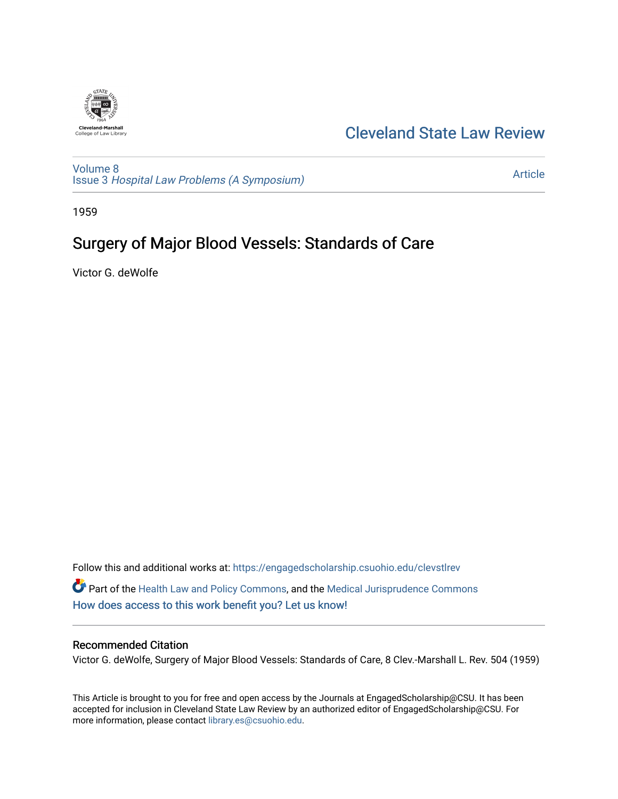

## [Cleveland State Law Review](https://engagedscholarship.csuohio.edu/clevstlrev)

[Volume 8](https://engagedscholarship.csuohio.edu/clevstlrev/vol8) Issue 3 [Hospital Law Problems \(A Symposium\)](https://engagedscholarship.csuohio.edu/clevstlrev/vol8/iss3)

[Article](https://engagedscholarship.csuohio.edu/clevstlrev/vol8/iss3/13) 

1959

# Surgery of Major Blood Vessels: Standards of Care

Victor G. deWolfe

Follow this and additional works at: [https://engagedscholarship.csuohio.edu/clevstlrev](https://engagedscholarship.csuohio.edu/clevstlrev?utm_source=engagedscholarship.csuohio.edu%2Fclevstlrev%2Fvol8%2Fiss3%2F13&utm_medium=PDF&utm_campaign=PDFCoverPages) Part of the [Health Law and Policy Commons](http://network.bepress.com/hgg/discipline/901?utm_source=engagedscholarship.csuohio.edu%2Fclevstlrev%2Fvol8%2Fiss3%2F13&utm_medium=PDF&utm_campaign=PDFCoverPages), and the [Medical Jurisprudence Commons](http://network.bepress.com/hgg/discipline/860?utm_source=engagedscholarship.csuohio.edu%2Fclevstlrev%2Fvol8%2Fiss3%2F13&utm_medium=PDF&utm_campaign=PDFCoverPages)  [How does access to this work benefit you? Let us know!](http://library.csuohio.edu/engaged/)

### Recommended Citation

Victor G. deWolfe, Surgery of Major Blood Vessels: Standards of Care, 8 Clev.-Marshall L. Rev. 504 (1959)

This Article is brought to you for free and open access by the Journals at EngagedScholarship@CSU. It has been accepted for inclusion in Cleveland State Law Review by an authorized editor of EngagedScholarship@CSU. For more information, please contact [library.es@csuohio.edu](mailto:library.es@csuohio.edu).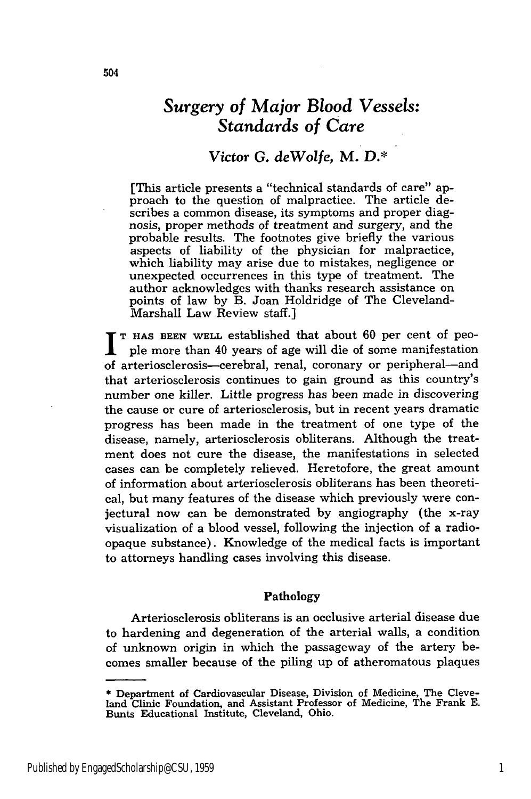## *Surgery of Major Blood Vessels: Standards of Care*

### *Victor G. deWolfe,* **M.** *D.\**

[This article presents a "technical standards of care" approach to the question of malpractice. The article describes a common disease, its symptoms and proper diagnosis, proper methods of treatment and surgery, and the probable results. The footnotes give briefly the various aspects of liability of the physician for malpractice, which liability may arise due to mistakes, negligence or unexpected occurrences in this type of treatment. The author acknowledges with thanks research assistance on points of law by B. Joan Holdridge of The Cleveland-Marshall Law Review staff.]

**T HAS BEEN WELL** established that about 60 per cent of people more than 40 years of age will die of some manifestation of arteriosclerosis-cerebral, renal, coronary or peripheral-and that arteriosclerosis continues to gain ground as this country's number one killer. Little progress has been made in discovering the cause or cure of arteriosclerosis, but in recent years dramatic progress has been made in the treatment of one type of the disease, namely, arteriosclerosis obliterans. Although the treatment does not cure the disease, the manifestations in selected cases can be completely relieved. Heretofore, the great amount of information about arteriosclerosis obliterans has been theoretical, but many features of the disease which previously were conjectural now can be demonstrated **by** angiography (the x-ray visualization of a blood vessel, following the injection of a radioopaque substance). Knowledge of the medical facts is important to attorneys handling cases involving this disease.

#### **Pathology**

Arteriosclerosis obliterans is an occlusive arterial disease due to hardening and degeneration of the arterial walls, a condition of unknown origin in which the passageway of the artery becomes smaller because of the piling up of atheromatous plaques

**<sup>\*</sup>** Department of Cardiovascular Disease, Division of Medicine, The Cleveland Clinic Foundation, and Assistant Professor of Medicine, The Frank **E.** Bunts Educational Institute, Cleveland, Ohio.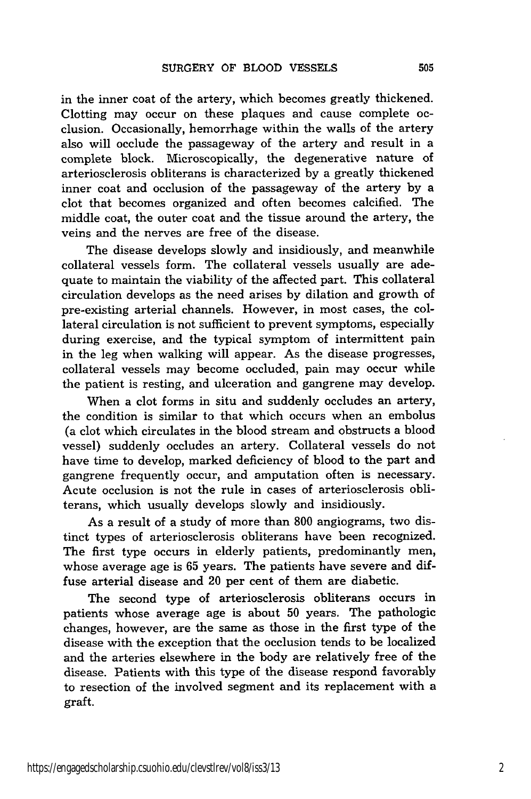in the inner coat of the artery, which becomes greatly thickened. Clotting may occur on these plaques and cause complete occlusion. Occasionally, hemorrhage within the walls of the artery also will occlude the passageway of the artery and result in a complete block. Microscopically, the degenerative nature of arteriosclerosis obliterans is characterized by a greatly thickened inner coat and occlusion of the passageway of the artery by a clot that becomes organized and often becomes calcified. The middle coat, the outer coat and the tissue around the artery, the veins and the nerves are free of the disease.

The disease develops slowly and insidiously, and meanwhile collateral vessels form. The collateral vessels usually are adequate to maintain the viability of the affected part. This collateral circulation develops as the need arises by dilation and growth of pre-existing arterial channels. However, in most cases, the collateral circulation is not sufficient to prevent symptoms, especially during exercise, and the typical symptom of intermittent pain in the leg when walking will appear. As the disease progresses, collateral vessels may become occluded, pain may occur while the patient is resting, and ulceration and gangrene may develop.

When a clot forms in situ and suddenly occludes an artery, the condition is similar to that which occurs when an embolus (a clot which circulates in the blood stream and obstructs a blood vessel) suddenly occludes an artery. Collateral vessels do not have time to develop, marked deficiency of blood to the part and gangrene frequently occur, and amputation often is necessary. Acute occlusion is not the rule in cases of arteriosclerosis obliterans, which usually develops slowly and insidiously.

As a result of a study of more than 800 angiograms, two distinct types of arteriosclerosis obliterans have been recognized. The first type occurs in elderly patients, predominantly men, whose average age is 65 years. The patients have severe and diffuse arterial disease and 20 per cent of them are diabetic.

The second type of arteriosclerosis obliterans occurs in patients whose average age is about 50 years. The pathologic changes, however, are the same as those in the first type of the disease with the exception that the occlusion tends to be localized and the arteries elsewhere in the body are relatively free of the disease. Patients with this type of the disease respond favorably to resection of the involved segment and its replacement with a graft.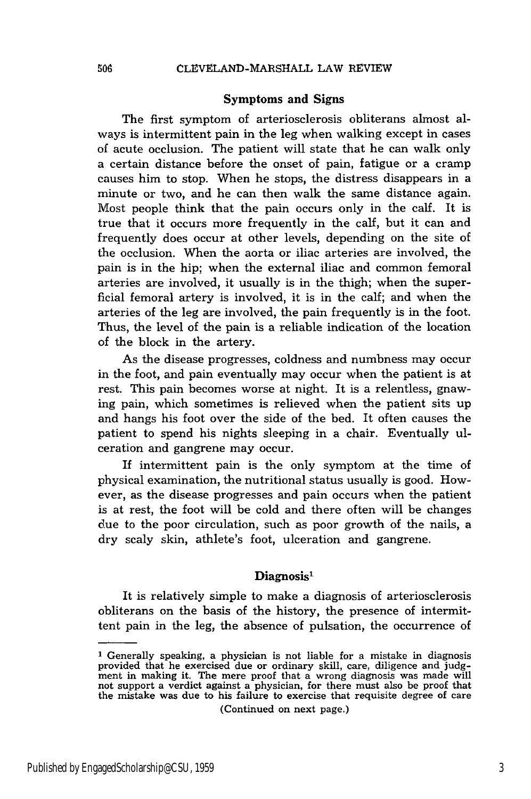#### Symptoms and Signs

The first symptom of arteriosclerosis obliterans almost always is intermittent pain in the leg when walking except in cases of acute occlusion. The patient will state that he can walk only a certain distance before the onset of pain, fatigue or a cramp causes him to stop. When he stops, the distress disappears in a minute or two, and he can then walk the same distance again. Most people think that the pain occurs only in the calf. It is true that it occurs more frequently in the calf, but it can and frequently does occur at other levels, depending on the site of the occlusion. When the aorta or iliac arteries are involved, the pain is in the hip; when the external iliac and common femoral arteries are involved, it usually is in the thigh; when the superficial femoral artery is involved, it is in the calf; and when the arteries of the leg are involved, the pain frequently is in the foot. Thus, the level of the pain is a reliable indication of the location of the block in the artery.

As the disease progresses, coldness and numbness may occur in the foot, and pain eventually may occur when the patient is at rest. This pain becomes worse at night. It is a relentless, gnawing pain, which sometimes is relieved when the patient sits up and hangs his foot over the side of the bed. It often causes the patient to spend his nights sleeping in a chair. Eventually ulceration and gangrene may occur.

If intermittent pain is the only symptom at the time of physical examination, the nutritional status usually is good. However, as the disease progresses and pain occurs when the patient is at rest, the foot will be cold and there often will be changes due to the poor circulation, such as poor growth of the nails, a dry scaly skin, athlete's foot, ulceration and gangrene.

#### **Diagnosis'**

It is relatively simple to make a diagnosis of arteriosclerosis obliterans on the basis of the history, the presence of intermittent pain in the leg, the absence of pulsation, the occurrence of

(Continued on next page.)

<sup>1</sup> Generally speaking, a physician is not liable for a mistake in diagnosis provided that he exercised due or ordinary skill, care, diligence and **judg-**ment in making it. The mere proof that a wrong diagnosis was made will not support a verdict against a physician, for there must also be proof that the mistake was due to his failure to exercise that requisite degree of care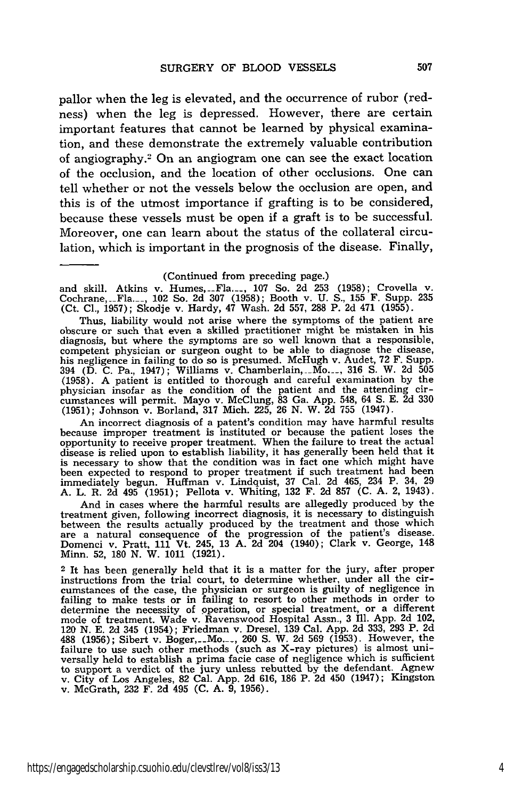pallor when the leg is elevated, and the occurrence of rubor (redness) when the leg is depressed. However, there are certain important features that cannot be learned by physical examination, and these demonstrate the extremely valuable contribution of angiography.2 On an angiogram one can see the exact location of the occlusion, and the location of other occlusions. One can tell whether or not the vessels below the occlusion are open, and this is of the utmost importance if grafting is to be considered, because these vessels must be open if a graft is to be successful. Moreover, one can learn about the status of the collateral circulation, which is important in the prognosis of the disease. Finally,

(Continued from preceding page.)

and skill. Atkins v. Humes,\_\_Fla.... 107 So. 2d 253 (1958); Crovella v. Cochrane, --Fla.\_, 102 So. 2d 307 (1958); Booth v. U. **S.,** 155 F. Supp. 235 (Ct. Cl., 1957); Skodje v. Hardy, 47 Wash. 2d 557, 288 P. 2d 471 (1955).

Thus, liability would not arise where the symptoms of the patient are obscure or such that even a skilled practitioner might be mistaken in his diagnosis, but where the symptoms are so well known that a responsible, competent physician or surgeon ought to be able to diagnose the disease, his negligence in failing to do so is presumed. McHugh v. Audet, 72 F. Supp. 394 (D. C. Pa., 1947); Williams v. Chamberlain, -Mo.\_ 316 S. W. 2d 505 (1958). A patient is entitled to thorough and careful examination by the physician insofar as the condition of the patient and the attending circumstances will permit. Mayo v. McClung, 83 Ga. App. 548, 64 **S.** E. 2d 330 (1951); Johnson v. Borland, 317 Mich. 225, 26 N. W. 2d 755 (1947).

An incorrect diagnosis of a patent's condition may have harmful results because improper treatment is instituted or because the patient loses the opportunity to receive proper treatment. When the failure to treat the actual disease is relied upon to establish liability, it has generally been held that it is necessary to show that the condition was in fact one which might have been expected to respond to proper treatment if such treatment had been immediately begun. Huffman v. Lindquist, 37 Cal. 2d 465, 234 P. 34, 29 A. L. R. 2d 495 (1951); Pellota v. Whiting, 132 F. 2d 857 (C. A. 2, 1943).

And in cases where the harmful results are allegedly produced by the treatment given, following incorrect diagnosis, it is necessary to distinguish between the results actually produced by the treatment and those which are a natural consequence of the progression of the patient's disease. Domenci v. Pratt, 111 Vt. 245, 13 A. 2d 204 (1940); Clark v. George, 148 Minn. **52, 180 N.** W. **1011 (1921).**

<sup>2</sup>It has been generally held that it is a matter for the jury, after proper instructions from the trial court, to determine whether, under all the cir-cumstances of the case, the physician or surgeon is guilty of negligence in failing to make tests or in failing to resort to other methods in order to determine the necessity of operation, or special treatment, or a different mode of treatment. Wade v. Ravenswood Hospital Assn., 3 Ill. App. 2d 102, 120 N. E. 2d 345 (1954); Friedman v. Dresel, 139 Cal. App. 2d 333, 293 P. 2d **488** (1956); Sibert v. Boger,\_\_Mo.\_, 260 **S.** W. 2d 569 (1953). However, the failure to use such other methods (such as X-ray pictures) is almost uni-<br>versally held to establish a prima facie case of negligence which is sufficient to support a verdict of the jury unless rebutted by the defendant. Agnew v. City of Los Angeles, 82 Cal. App. 2d 616, 186 P. 2d 450 (1947); Kingston v. McGrath, 232 F. 2d 495 (C. A. 9, 1956).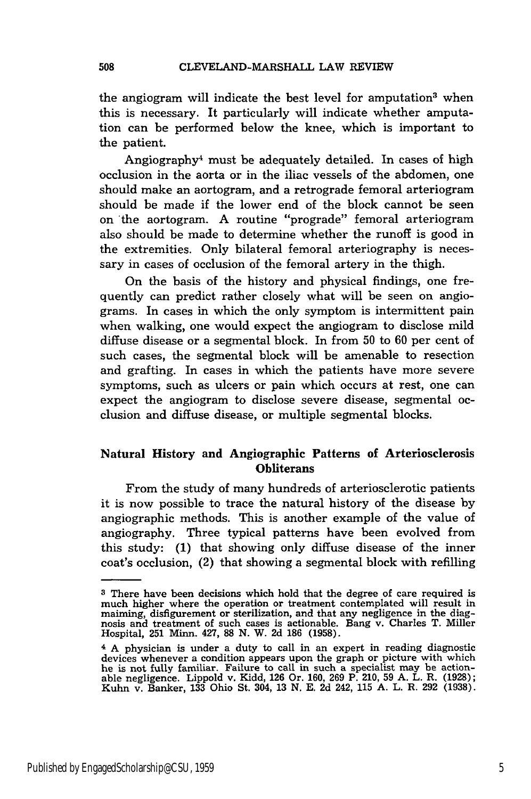the angiogram will indicate the best level for amputation<sup>3</sup> when this is necessary. It particularly will indicate whether amputation can be performed below the knee, which is important to the patient.

Angiography<sup>4</sup> must be adequately detailed. In cases of high occlusion in the aorta or in the iliac vessels of the abdomen, one should make an aortogram, and a retrograde femoral arteriogram should be made if the lower end of the block cannot be seen on 'the aortogram. A routine "prograde" femoral arteriogram also should be made to determine whether the runoff is good in the extremities. Only bilateral femoral arteriography is necessary in cases of occlusion of the femoral artery in the thigh.

On the basis of the history and physical findings, one frequently can predict rather closely what will be seen on angiograms. In cases in which the only symptom is intermittent pain when walking, one would expect the angiogram to disclose mild diffuse disease or a segmental block. In from 50 to 60 per cent of such cases, the segmental block will be amenable to resection and grafting. In cases in which the patients have more severe symptoms, such as ulcers or pain which occurs at rest, one can expect the angiogram to disclose severe disease, segmental occlusion and diffuse disease, or multiple segmental blocks.

#### **Natural History and Angiographic Patterns of Arteriosclerosis Obliterans**

From the study of many hundreds of arteriosclerotic patients it is now possible to trace the natural history of the disease **by** angiographic methods. This is another example of the value of angiography. Three typical patterns have been evolved from this study: **(1)** that showing only diffuse disease of the inner coat's occlusion, (2) that showing a segmental block with refilling

508

**<sup>3</sup>**There have been decisions which hold that the degree of care required is much higher where the operation or treatment contemplated will result in maiming, disfigurement or sterilization, and that any negligence in the diagnosis and treatment of such cases is actionable. Bang v. Charles T. Miller Hospital, **251 Minn.** 427, **88 N.** W. **2d 186 (1958).**

<sup>4</sup>**A** physician is under a duty to call in an expert in reading diagnostic devices whenever a condition appears upon the graph or picture with which he is not fully familiar. Failure to call in such a specialist may be actionable negligence. Lippold v. Kidd, **126** Or. 160, **269** P. 210, **59** A. L. R. (1928); Kuhn v. Banker, **133** Ohio St. 304, 13 N. E. 2d 242, 115 A. L. R. **292** (1938).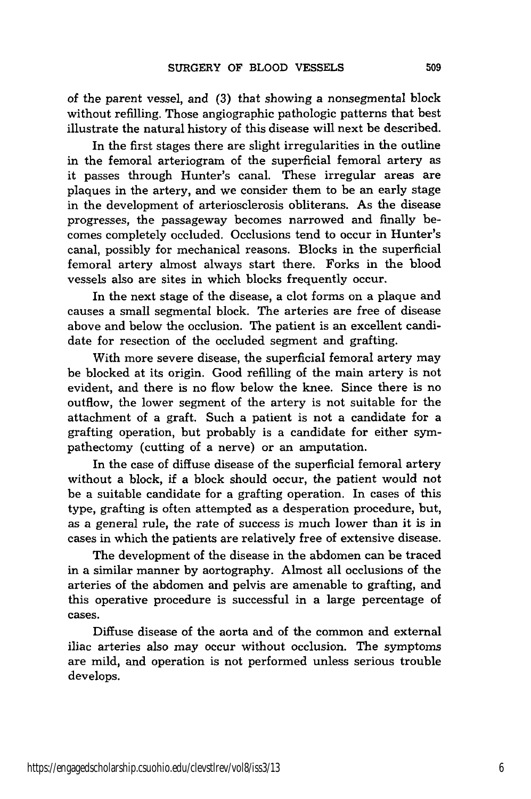of the parent vessel, and (3) that showing a nonsegmental block without refilling. Those angiographic pathologic patterns that best illustrate the natural history of this disease will next be described.

In the first stages there are slight irregularities in the outline in the femoral arteriogram of the superficial femoral artery as it passes through Hunter's canal. These irregular areas are plaques in the artery, and we consider them to be an early stage in the development of arteriosclerosis obliterans. As the disease progresses, the passageway becomes narrowed and finally becomes completely occluded. Occlusions tend to occur in Hunter's canal, possibly for mechanical reasons. Blocks in the superficial femoral artery almost always start there. Forks in the blood vessels also are sites in which blocks frequently occur.

In the next stage of the disease, a clot forms on a plaque and causes a small segmental block. The arteries are free of disease above and below the occlusion. The patient is an excellent candidate for resection of the occluded segment and grafting.

With more severe disease, the superficial femoral artery may be blocked at its origin. Good refilling of the main artery is not evident, and there is no flow below the knee. Since there is no outflow, the lower segment of the artery is not suitable for the attachment of a graft. Such a patient is not a candidate for a grafting operation, but probably is a candidate for either sympathectomy (cutting of a nerve) or an amputation.

In the case of diffuse disease of the superficial femoral artery without a block, if a block should occur, the patient would not be a suitable candidate for a grafting operation. In cases of this type, grafting is often attempted as a desperation procedure, but, as a general rule, the rate of success is much lower than it is in cases in which the patients are relatively free of extensive disease.

The development of the disease in the abdomen can be traced in a similar manner by aortography. Almost all occlusions of the arteries of the abdomen and pelvis are amenable to grafting, and this operative procedure is successful in a large percentage of cases.

Diffuse disease of the aorta and of the common and external iliac arteries also may occur without occlusion. The symptoms are mild, and operation is not performed unless serious trouble develops.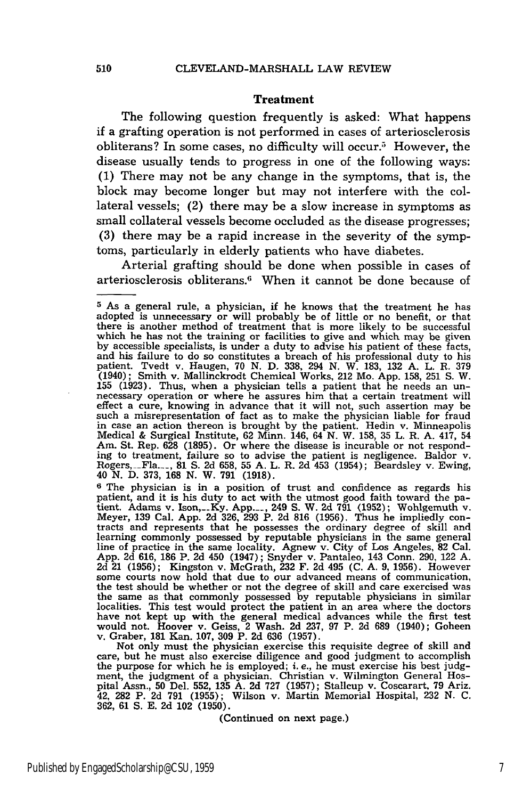#### Treatment

The following question frequently is asked: What happens if a grafting operation is not performed in cases of arteriosclerosis obliterans? In some cases, no difficulty will occur.<sup>5</sup> However, the disease usually tends to progress in one of the following ways: (1) There may not be any change in the symptoms, that is, the block may become longer but may not interfere with the collateral vessels; (2) there may be a slow increase in symptoms as small collateral vessels become occluded as the disease progresses; (3) there may be a rapid increase in the severity of the symptoms, particularly in elderly patients who have diabetes.

Arterial grafting should be done when possible in cases of arteriosclerosis obliterans.6 When it cannot be done because of

Not only must the physician exercise this requisite degree of skill and care, but he must also exercise diligence and good judgment to accomplish the purpose for which he is employed; i. e., he must exercise his best **judg-**ment, the judgment of a physician. Christian v. Wilmington General Hospital Assn., 50 Del. 552, 135 A. 2d 727 (1957); Stallcup v. Coscarart, 79 Ariz. 42, **282** P. 2d 791 (1955); Wilson v. Martin Memorial Hospital, 232 N. C. 362, **61 S.** E. **2d** 102 (1950).

(Continued on next page.)

**<sup>5</sup>**As a general rule, a physician, **if** he knows that the treatment he has adopted is unnecessary or will probably be of little or no benefit, or that there is another method of treatment that is more likely to be successful which he has not the training or facilities to give and which may be given by accessible specialists, is under a duty to advise his patient of these facts, and his failure to do so constitutes a breach of his professional duty to his patient. Tvedt v. Haugen, 70 N. D. 338, 294 N. W. 183, 132 A. L. R. 379 (1940); Smith v. Mallinckrodt Chemical Works, 212 Mo. App. 158, **251 S.** W. 155 (1923). Thus, when a physician tells a patient that he needs an un- necessary operation or where he assures him that a certain treatment will effect a cure, knowing in advance that it will not, such assertion may be such a misrepresentation of fact as to make the physician liable for fraud in case an action thereon is brought by the patient. Hedin v. Minneapolis Medical & Surgical Institute, 62 Minn. 146, 64 N. W. 158, 35 L. R. A. 417, 54 Am. St. Rep. 628 (1895). Or where the disease is incurable or not responding to treatment, failure so to advise the patient is negligence. Baldor v. Rogers, -Fla... 81 **S.** 2d 658, 55 A. L. R. 2d 453 (1954); Beardsley v. Ewing, 40 N. D. 373, 168 N. W. 791 (1918).

**<sup>6</sup>** The physician is in a position of trust and confidence as regards his patient, and it is his duty to act with the utmost good faith toward the patient. Adams v. Ison,\_\_Ky. App.... 249 **S.** W. **2d 791** (1952); Wohigemuth v. Meyer, 139 Cal. App. 2d 326, 293 P. **2d** 816 (1956). Thus he impliedly contracts and represents that he possesses the ordinary degree of skill and learning commonly possessed by reputable physicians in the same general line of practice in the same locality. Agnew v. City of Los Angeles, 82 Cal. App. 2d 616, 186 P. 2d 450 (1947); Snyder v. Pantaleo, 143 Conn. 290, 122 A. 2d 21 (1956); Kingston v. McGrath, 232 F. 2d 495 (C. A. 9, 1956). However some courts now hold that due to our advanced means of communication, the test should be whether or not the degree of skill and care exercised was the same as that commonly possessed by reputable physicians in similar localities. This test would protect the patient in an area where the doctors have not kept up with the general medical advances while the first test would not. Hoover v. Geiss, 2 Wash. 2d 237, 97 P. 2d 689 (1940); Goheen v. Graber, 181 Kan. 107, 309 P. **2d** 636 (1957).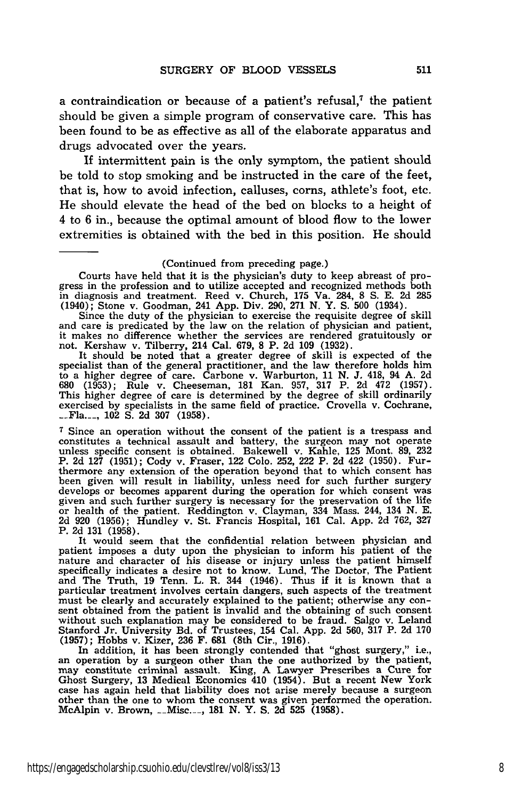a contraindication or because of a patient's refusal,<sup>7</sup> the patient should be given a simple program of conservative care. This has been found to be as effective as all of the elaborate apparatus and drugs advocated over the years.

If intermittent pain is the only symptom, the patient should be told to stop smoking and be instructed in the care of the feet, that is, how to avoid infection, calluses, corns, athlete's foot, etc. He should elevate the head of the bed on blocks to a height of 4 to 6 in., because the optimal amount of blood flow to the lower extremities is obtained with the bed in this position. He should

#### (Continued from preceding page.)

Courts have held that it is the physician's duty to keep abreast of progress in the profession and to utilize accepted and recognized methods both in diagnosis and treatment. Reed v. Church, 175 Va. 284, 8 **S.** E. 2d 285 (1940); Stone v. Goodman, 241 App. Div. 290, 271 N. Y. **S.** 500 (1934).

Since the duty of the physician to exercise the requisite degree of skill and care is predicated by the law on the relation of physician and patient, it makes no difference whether the services are rendered gratuitously or not. Kershaw v. Tilberry, 214 Cal. 679, 8 P. 2d 109 (1932).

It should be noted that a greater degree of skill is expected of the specialist than of the general practitioner, and the law therefore holds him to a higher degree of care. Carbone v. Warburton, 11 N. *J.* 418, 94 A. 2d 680 (1953); Rule v. Cheeseman, 181 Kan. 957, 317 P. 2d 472 (1957). This higher degree of care is determined by the degree of skill ordinarily exercised by specialists in the same field of practice. Crovella v. Cochrane, **Pla.**<sub>—1</sub>, 102 S. 2d 307 (1958).

**<sup>7</sup>**Since an operation without the consent of the patient is a trespass and constitutes a technical assault and battery, the surgeon may not operate unless specific consent is obtained. Bakewell v. Kahle, 125 Mont. 89, 232 P. 2d 127 (1951); Cody v. Fraser, 122 Colo. 252, 222 P. **2d** 422 (1950). Furthermore any extension of the operation beyond that to which consent has been given will result in liability, unless need for such further surgery develops or becomes apparent during the operation for which consent was<br>given and such further surgery is necessary for the preservation of the life<br>or health of the patient. Reddington v. Clayman, 334 Mass. 244, 134 N. E<br> P. 2d 131 (1958).

It would seem that the confidential relation between physician and patient imposes a duty upon the physician to inform his patient of the nature and character of his disease or injury unless the patient himself specifically indicates a desire not to know. Lund, The Doctor, The Patient<br>and The Truth, 19 Tenn. L. R. 344 (1946). Thus if it is known that a<br>particular treatment involves certain dangers, such aspects of the treatment<br>m sent obtained from the patient is invalid and the obtaining of such consen without such explanation may be considered to be fraud. Salgo v. Leland<br>Stanford Jr. University Bd. of Trustees, 154 Cal. App. 2d 560, 317 P. 2d 170<br>(1957); Hobbs v. Kizer, 236 F. 681 (8th Cir., 1916).<br>In addition, it has

may constitute criminal assault. King, **A** Lawyer Prescribes a Cure for Ghost Surgery, 13 Medical Economics 410 (1954). But a recent New York case has again held that liability does not arise merely because a surgeon case has again held that liability does not arise merely because a surgeon other than the one to whom the consent was given performed the operation. McAlpin v. Brown, \_\_Misc.\_, **181 N.** Y. **S. 2d 525 (1958).**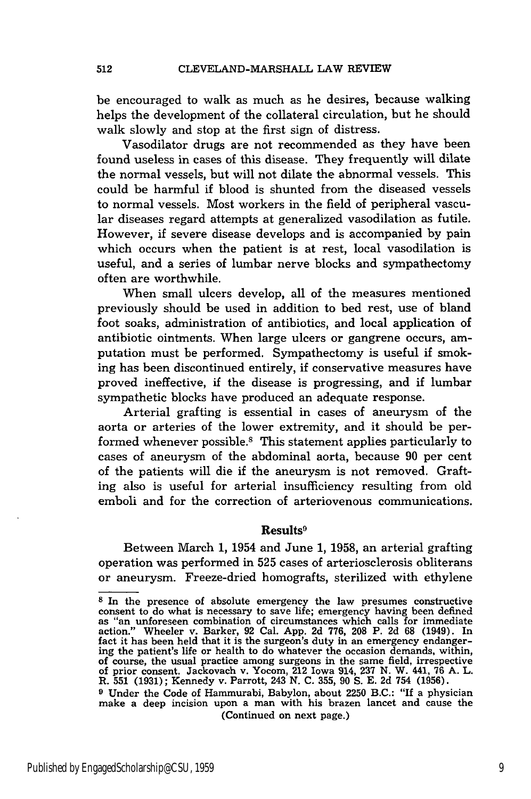be encouraged to walk as much as he desires, because walking helps the development of the collateral circulation, but he should walk slowly and stop at the first sign of distress.

Vasodilator drugs are not recommended as they have been found useless in cases of this disease. They frequently will dilate the normal vessels, but will not dilate the abnormal vessels. This could be harmful if blood is shunted from the diseased vessels to normal vessels. Most workers in the field of peripheral vascular diseases regard attempts at generalized vasodilation as futile. However, if severe disease develops and is accompanied by pain which occurs when the patient is at rest, local vasodilation is useful, and a series of lumbar nerve blocks and sympathectomy often are worthwhile.

When small ulcers develop, all of the measures mentioned previously should be used in addition to bed rest, use of bland foot soaks, administration of antibiotics, and local application of antibiotic ointments. When large ulcers or gangrene occurs, amputation must be performed. Sympathectomy is useful if smoking has been discontinued entirely, if conservative measures have proved ineffective, if the disease is progressing, and if lumbar sympathetic blocks have produced an adequate response.

Arterial grafting is essential in cases of aneurysm of the aorta or arteries of the lower extremity, and it should be performed whenever possible.<sup>8</sup> This statement applies particularly to cases of aneurysm of the abdominal aorta, because 90 per cent of the patients will die if the aneurysm is not removed. Grafting also is useful for arterial insufficiency resulting from old emboli and for the correction of arteriovenous communications.

#### Results<sup>9</sup>

Between March 1, 1954 and June 1, 1958, an arterial grafting operation was performed in 525 cases of arteriosclerosis obliterans or aneurysm. Freeze-dried homografts, sterilized with ethylene

**<sup>8</sup>** In the presence of absolute emergency the law presumes constructive consent to do what is necessary to save life; emergency having been defined as "an unforeseen combination of circumstances which calls for immediate action." Wheeler v. Barker, 92 Cal. App. 2d 776, **208** P. 2d **68** (1949). In fact it has been held that it is the surgeon's duty in an emergency endanger- ing the patient's life or health to do whatever the occasion demands, within, of course, the usual practice among surgeons in the same field, irrespective of prior consent. Jackovach v. Yocom, 212 Iowa 914, 237 **N.** W. 441, 76 **A.** L. R. 551 (1931); Kennedy v. Parrott, 243 **N. C.** 355, 90 S. E. **2d** 754 (1956).

**<sup>9</sup>**Under the Code of Hammurabi, Babylon, about 2250 B.C.: "If a physician make a deep incision upon a man with his brazen lancet and cause the (Continued on next page.)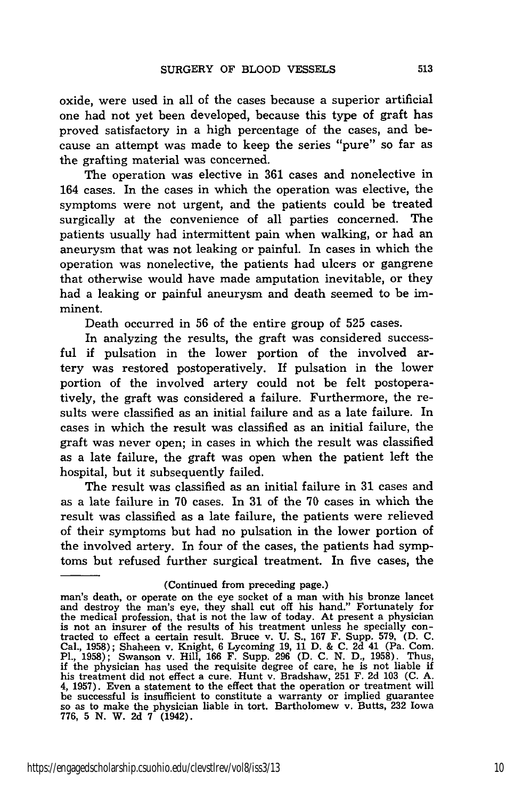oxide, were used in all of the cases because a superior artificial one had not yet been developed, because this type of graft has proved satisfactory in a high percentage of the cases, and because an attempt was made to keep the series "pure" so far as the grafting material was concerned.

The operation was elective in 361 cases and nonelective in 164 cases. In the cases in which the operation was elective, the symptoms were not urgent, and the patients could be treated surgically at the convenience of all parties concerned. The patients usually had intermittent pain when walking, or had an aneurysm that was not leaking or painful. In cases in which the operation was nonelective, the patients had ulcers or gangrene that otherwise would have made amputation inevitable, or they had a leaking or painful aneurysm and death seemed to be imminent.

Death occurred in 56 of the entire group of 525 cases.

In analyzing the results, the graft was considered successful if pulsation in the lower portion of the involved artery was restored postoperatively. If pulsation in the lower portion of the involved artery could not be felt postoperatively, the graft was considered a failure. Furthermore, the results were classified as an initial failure and as a late failure. In cases in which the result was classified as an initial failure, the graft was never open; in cases in which the result was classified as a late failure, the graft was open when the patient left the hospital, but it subsequently failed.

The result was classified as an initial failure in 31 cases and as a late failure in 70 cases. In 31 of the 70 cases in which the result was classified as a late failure, the patients were relieved of their symptoms but had no pulsation in the lower portion of the involved artery. In four of the cases, the patients had symptoms but refused further surgical treatment. In five cases, the

<sup>(</sup>Continued from preceding page.)

man's death, or operate on the eye socket of a man with his bronze lancet<br>and destroy the man's eye, they shall cut off his hand." Fortunately for the medical profession, that is not the law of today. At present a physician<br>is not an insurer of the results of his treatment unless he specially con-<br>tracted to effect a certain result. Bruce v. U. S., 167 F. Supp. 579, Cal., 1958); Shaheen v. Knight, 6 Lycoming 19, 11 D. & C. 2d 41 (Pa. Com.<br>Pl., 1958); Swanson v. Hill, 166 F. Supp. 296 (D. C. N. D., 1958). Thus,<br>if the physician has used the requisite degree of care, he is not liable if his treatment did not effect a cure. Hunt v. Bradshaw, **251** F. **2d 103 (C. A.** 4, **1957).** Even a statement to the effect that the operation or treatment will be successful is insufficient to constitute a warranty or implied guarantee so as to make the physician liable in tort. Bartholomew v. Butts, **232** Iowa **776, 5 N.** W. **2d 7** (1942).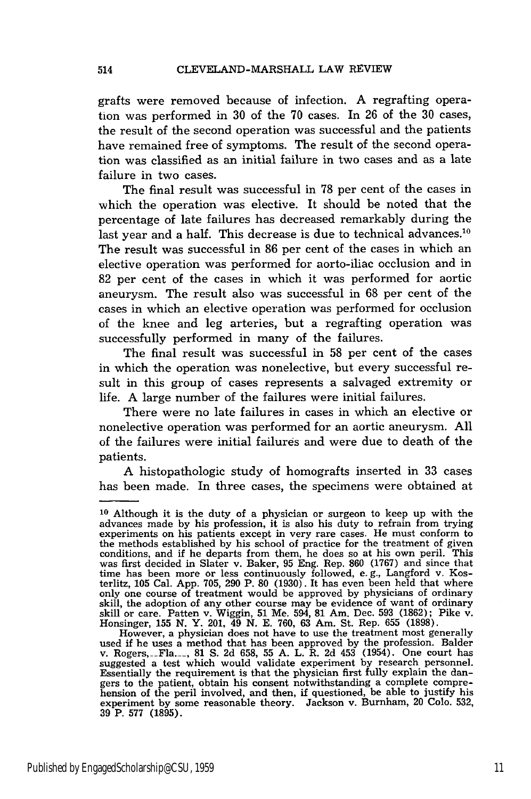grafts were removed because of infection. A regrafting operation was performed in 30 of the 70 cases. In 26 of the 30 cases, the result of the second operation was successful and the patients have remained free of symptoms. The result of the second operation was classified as an initial failure in two cases and as a late failure in two cases.

The final result was successful in 78 per cent of the cases in which the operation was elective. It should be noted that the percentage of late failures has decreased remarkably during the last year and a half. This decrease is due to technical advances.<sup>10</sup> The result was successful in 86 per cent of the cases in which an elective operation was performed for aorto-iliac occlusion and in 82 per cent of the cases in which it was performed for aortic aneurysm. The result also was successful in 68 per cent of the cases in which an elective operation was performed for occlusion of the knee and leg arteries, but a regrafting operation was successfully performed in many of the failures.

The final result was successful in 58 per cent of the cases in which the operation was nonelective, but every successful result in this group of cases represents a salvaged extremity or life. A large number of the failures were initial failures.

There were no late failures in cases in which an elective or nonelective operation was performed for an aortic aneurysm. All of the failures were initial failures and were due to death of the patients.

A histopathologic study of homografts inserted in 33 cases has been made. In three cases, the specimens were obtained at

**<sup>10</sup>**Although it is the duty of a physician or surgeon to keep up with the advances made by his profession, it is also his duty to refrain from trying experiments on his patients except in very rare cases. He must conform to the methods established by his school of practice for the treatment of given conditions, and if he departs from them, he does so at his own peril. This was first decided in Slater v. Baker, 95 Eng. Rep. 860 (1767) and since that time has been more or less continuously followed, e.g., Langford v. Kosterlitz, 105 Cal. App. 705, 290 P. 80 (1930). It has even been held that where only one course of treatment would be approved by physicians of ordinary skill, the adoption of any other course may be evidence of want of ordinary skill or care. Patten v. Wiggin, 51 Me. 594, 81 Am. Dec. 593 (1862); Pike v. Honsinger, 155 N. Y. 201, 49 N. E. 760, 63 Am. St. Rep. 655 (1898).

However, a physician does not have to use the treatment most generally used if he uses a method that has been approved by the profession. Balder v. Rogers, -Fla..\_ 81 **S.** 2d 658, 55 A. L. R. 2d 453 (1954). One court has suggested a test which would validate experiment by research personnel. Essentially the requirement is that the physician first fully explain the dangers to the patient, obtain his consent notwithstanding a complete comprehension of the peril involved, and then, if questioned, be able to justify his experiment by some reasonable theory. Jackson v. Burnham, 20 Colo. 532, 39 P. 577 (1895).